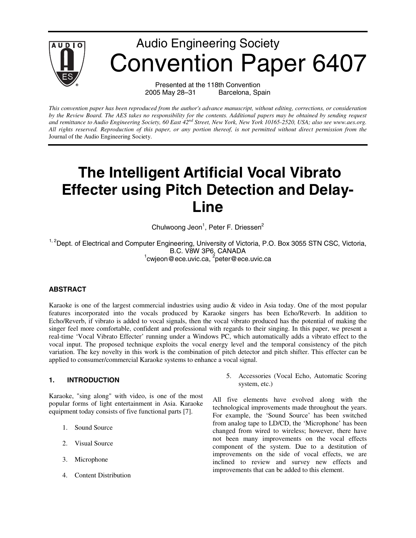

2005 May 28–31 Barcelona, Spain

*This convention paper has been reproduced from the author's advance manuscript, without editing, corrections, or consideration by the Review Board. The AES takes no responsibility for the contents. Additional papers may be obtained by sending request and remittance to Audio Engineering Society, 60 East 42nd Street, New York, New York 10165-2520, USA; also see www.aes.org. All rights reserved. Reproduction of this paper, or any portion thereof, is not permitted without direct permission from the* Journal of the Audio Engineering Society.

# **The Intelligent Artificial Vocal Vibrato Effecter using Pitch Detection and Delay-Line**

Chulwoong Jeon<sup>1</sup>, Peter F. Driessen<sup>2</sup>

<sup>1, 2</sup>Dept. of Electrical and Computer Engineering, University of Victoria, P.O. Box 3055 STN CSC, Victoria, B.C. V8W 3P6, CANADA<br><sup>1</sup>cwjeon@ece.uvic.ca, <sup>2</sup>peter@ece.uvic.ca

# **ABSTRACT**

Karaoke is one of the largest commercial industries using audio & video in Asia today. One of the most popular features incorporated into the vocals produced by Karaoke singers has been Echo/Reverb. In addition to Echo/Reverb, if vibrato is added to vocal signals, then the vocal vibrato produced has the potential of making the singer feel more comfortable, confident and professional with regards to their singing. In this paper, we present a real-time 'Vocal Vibrato Effecter' running under a Windows PC, which automatically adds a vibrato effect to the vocal input. The proposed technique exploits the vocal energy level and the temporal consistency of the pitch variation. The key novelty in this work is the combination of pitch detector and pitch shifter. This effecter can be applied to consumer/commercial Karaoke systems to enhance a vocal signal.

# **1. INTRODUCTION**

Karaoke, "sing along" with video, is one of the most popular forms of light entertainment in Asia. Karaoke equipment today consists of five functional parts [7].

- 1. Sound Source
- 2. Visual Source
- 3. Microphone
- 4. Content Distribution

5. Accessories (Vocal Echo, Automatic Scoring system, etc.)

All five elements have evolved along with the technological improvements made throughout the years. For example, the 'Sound Source' has been switched from analog tape to LD/CD, the 'Microphone' has been changed from wired to wireless; however, there have not been many improvements on the vocal effects component of the system. Due to a destitution of improvements on the side of vocal effects, we are inclined to review and survey new effects and improvements that can be added to this element.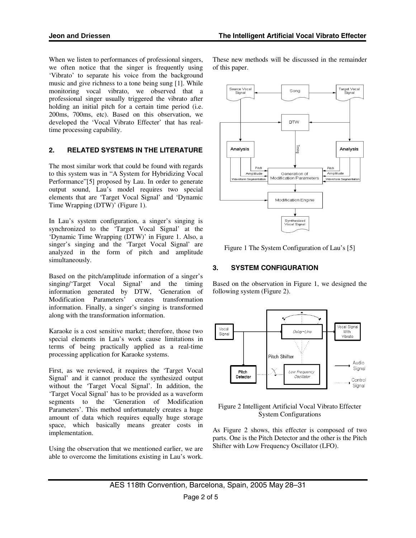When we listen to performances of professional singers, we often notice that the singer is frequently using 'Vibrato' to separate his voice from the background music and give richness to a tone being sung [1]. While monitoring vocal vibrato, we observed that a professional singer usually triggered the vibrato after holding an initial pitch for a certain time period (i.e. 200ms, 700ms, etc). Based on this observation, we developed the 'Vocal Vibrato Effecter' that has realtime processing capability.

# **2. RELATED SYSTEMS IN THE LITERATURE**

The most similar work that could be found with regards to this system was in "A System for Hybridizing Vocal Performance"[5] proposed by Lau. In order to generate output sound, Lau's model requires two special elements that are 'Target Vocal Signal' and 'Dynamic Time Wrapping (DTW)' (Figure 1).

In Lau's system configuration, a singer's singing is synchronized to the 'Target Vocal Signal' at the 'Dynamic Time Wrapping (DTW)' in Figure 1. Also, a singer's singing and the 'Target Vocal Signal' are analyzed in the form of pitch and amplitude simultaneously.

Based on the pitch/amplitude information of a singer's singing/'Target Vocal Signal' and the timing information generated by DTW, 'Generation of Modification Parameters' creates transformation information. Finally, a singer's singing is transformed along with the transformation information.

Karaoke is a cost sensitive market; therefore, those two special elements in Lau's work cause limitations in terms of being practically applied as a real-time processing application for Karaoke systems.

First, as we reviewed, it requires the 'Target Vocal Signal' and it cannot produce the synthesized output without the 'Target Vocal Signal'. In addition, the 'Target Vocal Signal' has to be provided as a waveform segments to the 'Generation of Modification Parameters'. This method unfortunately creates a huge amount of data which requires equally huge storage space, which basically means greater costs in implementation.

Using the observation that we mentioned earlier, we are able to overcome the limitations existing in Lau's work. These new methods will be discussed in the remainder of this paper.



Figure 1 The System Configuration of Lau's [5]

# **3. SYSTEM CONFIGURATION**

Based on the observation in Figure 1, we designed the following system (Figure 2).



Figure 2 Intelligent Artificial Vocal Vibrato Effecter System Configurations

As Figure 2 shows, this effecter is composed of two parts. One is the Pitch Detector and the other is the Pitch Shifter with Low Frequency Oscillator (LFO).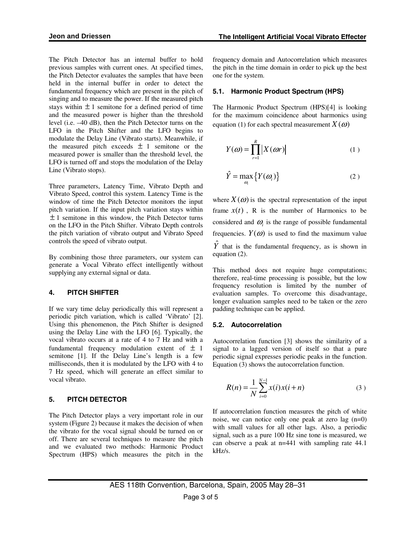The Pitch Detector has an internal buffer to hold previous samples with current ones. At specified times, the Pitch Detector evaluates the samples that have been held in the internal buffer in order to detect the fundamental frequency which are present in the pitch of singing and to measure the power. If the measured pitch stays within  $\pm 1$  semitone for a defined period of time and the measured power is higher than the threshold level (i.e. –40 dB), then the Pitch Detector turns on the LFO in the Pitch Shifter and the LFO begins to modulate the Delay Line (Vibrato starts). Meanwhile, if the measured pitch exceeds  $\pm$  1 semitone or the measured power is smaller than the threshold level, the LFO is turned off and stops the modulation of the Delay Line (Vibrato stops).

Three parameters, Latency Time, Vibrato Depth and Vibrato Speed, control this system. Latency Time is the window of time the Pitch Detector monitors the input pitch variation. If the input pitch variation stays within  $\pm$  1 semitone in this window, the Pitch Detector turns on the LFO in the Pitch Shifter. Vibrato Depth controls the pitch variation of vibrato output and Vibrato Speed controls the speed of vibrato output.

By combining those three parameters, our system can generate a Vocal Vibrato effect intelligently without supplying any external signal or data.

#### **4. PITCH SHIFTER**

If we vary time delay periodically this will represent a periodic pitch variation, which is called 'Vibrato' [2]. Using this phenomenon, the Pitch Shifter is designed using the Delay Line with the LFO [6]. Typically, the vocal vibrato occurs at a rate of 4 to 7 Hz and with a fundamental frequency modulation extent of  $\pm$  1 semitone [1]. If the Delay Line's length is a few milliseconds, then it is modulated by the LFO with 4 to 7 Hz speed, which will generate an effect similar to vocal vibrato.

## **5. PITCH DETECTOR**

The Pitch Detector plays a very important role in our system (Figure 2) because it makes the decision of when the vibrato for the vocal signal should be turned on or off. There are several techniques to measure the pitch and we evaluated two methods: Harmonic Product Spectrum (HPS) which measures the pitch in the frequency domain and Autocorrelation which measures the pitch in the time domain in order to pick up the best one for the system.

#### **5.1. Harmonic Product Spectrum (HPS)**

The Harmonic Product Spectrum (HPS)[4] is looking for the maximum coincidence about harmonics using equation (1) for each spectral measurement  $X(\omega)$ 

$$
Y(\omega) = \prod_{r=1}^{R} \left| X(\omega r) \right| \tag{1}
$$

$$
\hat{Y} = \max_{\omega_i} \left\{ Y(\omega_i) \right\} \tag{2}
$$

where  $X(\omega)$  is the spectral representation of the input frame  $x(t)$ , R is the number of Harmonics to be considered and  $\omega$  is the range of possible fundamental frequencies.  $Y(\omega)$  is used to find the maximum value  $\overline{Y}$  that is the fundamental frequency, as is shown in equation (2).

This method does not require huge computations; therefore, real-time processing is possible, but the low frequency resolution is limited by the number of evaluation samples. To overcome this disadvantage, longer evaluation samples need to be taken or the zero padding technique can be applied.

## **5.2. Autocorrelation**

Autocorrelation function [3] shows the similarity of a signal to a lagged version of itself so that a pure periodic signal expresses periodic peaks in the function. Equation (3) shows the autocorrelation function.

$$
R(n) = \frac{1}{N} \sum_{i=0}^{N-1} x(i) x(i+n)
$$
 (3)

If autocorrelation function measures the pitch of white noise, we can notice only one peak at zero lag (n=0) with small values for all other lags. Also, a periodic signal, such as a pure 100 Hz sine tone is measured, we can observe a peak at n=441 with sampling rate 44.1 kHz/s.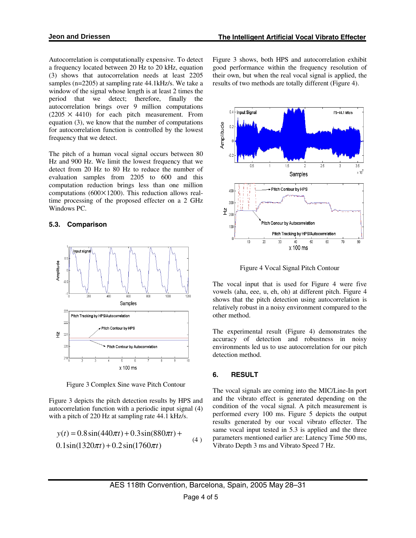Autocorrelation is computationally expensive. To detect a frequency located between 20 Hz to 20 kHz, equation (3) shows that autocorrelation needs at least 2205 samples (n=2205) at sampling rate 44.1kHz/s. We take a window of the signal whose length is at least 2 times the period that we detect; therefore, finally the autocorrelation brings over 9 million computations  $(2205 \times 4410)$  for each pitch measurement. From equation (3), we know that the number of computations for autocorrelation function is controlled by the lowest frequency that we detect.

The pitch of a human vocal signal occurs between 80 Hz and 900 Hz. We limit the lowest frequency that we detect from 20 Hz to 80 Hz to reduce the number of evaluation samples from 2205 to 600 and this computation reduction brings less than one million computations (600×1200). This reduction allows realtime processing of the proposed effecter on a 2 GHz Windows PC.

### **5.3. Comparison**



Figure 3 Complex Sine wave Pitch Contour

Figure 3 depicts the pitch detection results by HPS and autocorrelation function with a periodic input signal (4) with a pitch of 220 Hz at sampling rate 44.1 kHz/s.

$$
y(t) = 0.8\sin(440\pi t) + 0.3\sin(880\pi t) +
$$
  
0.1sin(1320 $\pi t$ ) + 0.2sin(1760 $\pi t$ ) (4)

Figure 3 shows, both HPS and autocorrelation exhibit good performance within the frequency resolution of their own, but when the real vocal signal is applied, the results of two methods are totally different (Figure 4).



Figure 4 Vocal Signal Pitch Contour

The vocal input that is used for Figure 4 were five vowels (aha, eee, u, eh, oh) at different pitch. Figure 4 shows that the pitch detection using autocorrelation is relatively robust in a noisy environment compared to the other method.

The experimental result (Figure 4) demonstrates the accuracy of detection and robustness in noisy environments led us to use autocorrelation for our pitch detection method.

## **6. RESULT**

The vocal signals are coming into the MIC/Line-In port and the vibrato effect is generated depending on the condition of the vocal signal. A pitch measurement is performed every 100 ms. Figure 5 depicts the output results generated by our vocal vibrato effecter. The same vocal input tested in 5.3 is applied and the three parameters mentioned earlier are: Latency Time 500 ms, Vibrato Depth 3 ms and Vibrato Speed 7 Hz.